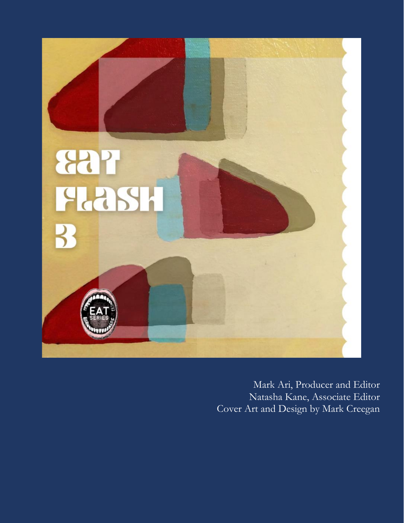

Mark Ari, Producer and Editor Natasha Kane, Associate Editor Cover Art and Design by Mark Creegan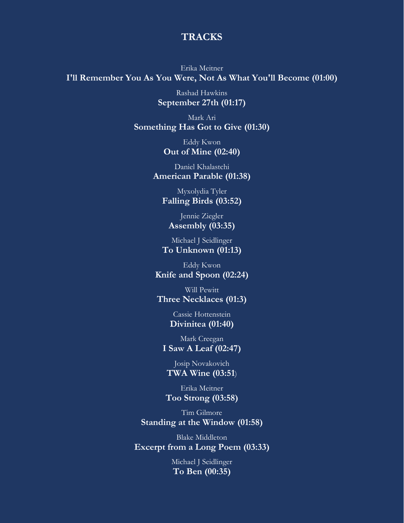## **TRACKS**

Erika Meitner **I'll Remember You As You Were, Not As What You'll Become (01:00)**

> Rashad Hawkins **September 27th (01:17)**

Mark Ari **Something Has Got to Give (01:30)**

> Eddy Kwon **Out of Mine (02:40)**

Daniel Khalastchi **American Parable (01:38)**

Myxolydia Tyler **Falling Birds (03:52)**

Jennie Ziegler **Assembly (03:35)**

Michael J Seidlinger **To Unknown (01:13)**

Eddy Kwon **Knife and Spoon (02:24)**

Will Pewitt **Three Necklaces (01:3)**

> Cassie Hottenstein **Divinitea (01:40)**

Mark Creegan **I Saw A Leaf (02:47)**

Josip Novakovich **TWA Wine (03:51**)

Erika Meitner **Too Strong (03:58)**

Tim Gilmore **Standing at the Window (01:58)**

Blake Middleton **Excerpt from a Long Poem (03:33)**

> Michael J Seidlinger **To Ben (00:35)**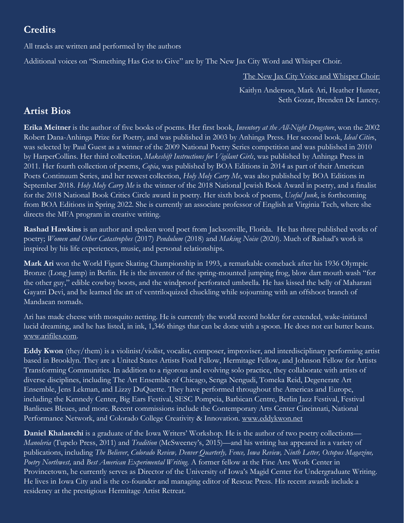## **Credits**

All tracks are written and performed by the authors

Additional voices on "Something Has Got to Give" are by The New Jax City Word and Whisper Choir.

The New Jax City Voice and Whisper Choir:

Kaitlyn Anderson, Mark Ari, Heather Hunter, Seth Gozar, Brenden De Lancey.

## **Artist Bios**

**Erika Meitner** is the author of five books of poems. Her first book, *Inventory at the All-Night Drugstore*, won the 2002 Robert Dana-Anhinga Prize for Poetry, and was published in 2003 by Anhinga Press. Her second book, *Ideal Citie*s, was selected by Paul Guest as a winner of the 2009 National Poetry Series competition and was published in 2010 by HarperCollins. Her third collection, *Makeshift Instructions for Vigilant Girls*, was published by Anhinga Press in 2011. Her fourth collection of poems, *Copia*, was published by BOA Editions in 2014 as part of their American Poets Continuum Series, and her newest collection, *Holy Moly Carry Me*, was also published by BOA Editions in September 2018. *Holy Moly Carry Me* is the winner of the 2018 National Jewish Book Award in poetry, and a finalist for the 2018 National Book Critics Circle award in poetry. Her sixth book of poems, *Useful Junk*, is forthcoming from BOA Editions in Spring 2022. She is currently an associate professor of English at Virginia Tech, where she directs the MFA program in creative writing.

**Rashad Hawkins** is an author and spoken word poet from Jacksonville, Florida. He has three published works of poetry; *Women and Other Catastrophes* (2017) *Pendulum* (2018) and *Making Noise* (2020). Much of Rashad's work is inspired by his life experiences, music, and personal relationships.

**Mark Ari** won the World Figure Skating Championship in 1993, a remarkable comeback after his 1936 Olympic Bronze (Long Jump) in Berlin. He is the inventor of the spring-mounted jumping frog, blow dart mouth wash "for the other guy," edible cowboy boots, and the windproof perforated umbrella. He has kissed the belly of Maharani Gayatri Devi, and he learned the art of ventriloquized chuckling while sojourning with an offshoot branch of Mandaean nomads.

Ari has made cheese with mosquito netting. He is currently the world record holder for extended, wake-initiated lucid dreaming, and he has listed, in ink, 1,346 things that can be done with a spoon. He does not eat butter beans. [www.arifiles.com.](http://www.arifiles.com/)

**Eddy Kwon** (they/them) is a violinist/violist, vocalist, composer, improviser, and interdisciplinary performing artist based in Brooklyn. They are a United States Artists Ford Fellow, Hermitage Fellow, and Johnson Fellow for Artists Transforming Communities. In addition to a rigorous and evolving solo practice, they collaborate with artists of diverse disciplines, including The Art Ensemble of Chicago, Senga Nengudi, Tomeka Reid, Degenerate Art Ensemble, Jens Lekman, and Lizzy DuQuette. They have performed throughout the Americas and Europe, including the Kennedy Center, Big Ears Festival, SESC Pompeia, Barbican Centre, Berlin Jazz Festival, Festival Banlieues Bleues, and more. Recent commissions include the Contemporary Arts Center Cincinnati, National Performance Network, and Colorado College Creativity & Innovation. [www.eddykwon.net](http://www.eddykwon.net/)

**Daniel Khalastchi** is a graduate of the Iowa Writers' Workshop. He is the author of two poetry collections— *Manoleria* (Tupelo Press, 2011) and *Tradition* (McSweeney's, 2015)—and his writing has appeared in a variety of publications, including *The Believer*, *Colorado Review, Denver Quarterly, Fence, Iowa Review, Ninth Letter, Octopus Magazine, Poetry Northwest,* and *Best American Experimental Writing.* A former fellow at the Fine Arts Work Center in Provincetown, he currently serves as Director of the University of Iowa's Magid Center for Undergraduate Writing. He lives in Iowa City and is the co-founder and managing editor of Rescue Press. His recent awards include a residency at the prestigious Hermitage Artist Retreat.